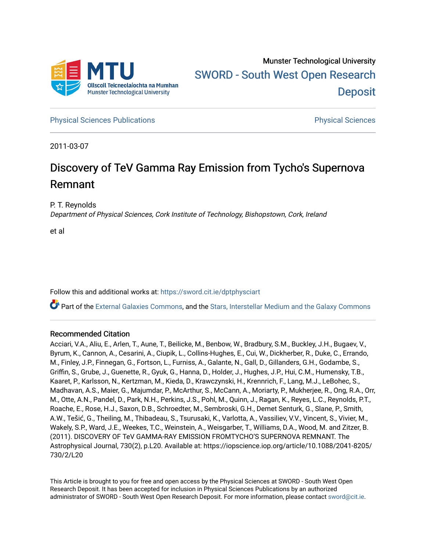

**[Physical Sciences Publications](https://sword.cit.ie/dptphysciart) Provide Access Publications Physical Sciences** Physical Sciences

2011-03-07

# Discovery of TeV Gamma Ray Emission from Tycho's Supernova Remnant

P. T. Reynolds

Department of Physical Sciences, Cork Institute of Technology, Bishopstown, Cork, Ireland

et al

Follow this and additional works at: [https://sword.cit.ie/dptphysciart](https://sword.cit.ie/dptphysciart?utm_source=sword.cit.ie%2Fdptphysciart%2F95&utm_medium=PDF&utm_campaign=PDFCoverPages)

Part of the [External Galaxies Commons](http://network.bepress.com/hgg/discipline/128?utm_source=sword.cit.ie%2Fdptphysciart%2F95&utm_medium=PDF&utm_campaign=PDFCoverPages), and the [Stars, Interstellar Medium and the Galaxy Commons](http://network.bepress.com/hgg/discipline/127?utm_source=sword.cit.ie%2Fdptphysciart%2F95&utm_medium=PDF&utm_campaign=PDFCoverPages) 

# Recommended Citation

Acciari, V.A., Aliu, E., Arlen, T., Aune, T., Beilicke, M., Benbow, W., Bradbury, S.M., Buckley, J.H., Bugaev, V., Byrum, K., Cannon, A., Cesarini, A., Ciupik, L., Collins-Hughes, E., Cui, W., Dickherber, R., Duke, C., Errando, M., Finley, J.P., Finnegan, G., Fortson, L., Furniss, A., Galante, N., Gall, D., Gillanders, G.H., Godambe, S., Griffin, S., Grube, J., Guenette, R., Gyuk, G., Hanna, D., Holder, J., Hughes, J.P., Hui, C.M., Humensky, T.B., Kaaret, P., Karlsson, N., Kertzman, M., Kieda, D., Krawczynski, H., Krennrich, F., Lang, M.J., LeBohec, S., Madhavan, A.S., Maier, G., Majumdar, P., McArthur, S., McCann, A., Moriarty, P., Mukherjee, R., Ong, R.A., Orr, M., Otte, A.N., Pandel, D., Park, N.H., Perkins, J.S., Pohl, M., Quinn, J., Ragan, K., Reyes, L.C., Reynolds, P.T., Roache, E., Rose, H.J., Saxon, D.B., Schroedter, M., Sembroski, G.H., Demet Senturk, G., Slane, P., Smith, A.W., Tešić, G., Theiling, M., Thibadeau, S., Tsurusaki, K., Varlotta, A., Vassiliev, V.V., Vincent, S., Vivier, M., Wakely, S.P., Ward, J.E., Weekes, T.C., Weinstein, A., Weisgarber, T., Williams, D.A., Wood, M. and Zitzer, B. (2011). DISCOVERY OF TeV GAMMA-RAY EMISSION FROMTYCHO'S SUPERNOVA REMNANT. The Astrophysical Journal, 730(2), p.L20. Available at: https://iopscience.iop.org/article/10.1088/2041-8205/ 730/2/L20

This Article is brought to you for free and open access by the Physical Sciences at SWORD - South West Open Research Deposit. It has been accepted for inclusion in Physical Sciences Publications by an authorized administrator of SWORD - South West Open Research Deposit. For more information, please contact [sword@cit.ie.](mailto:sword@cit.ie)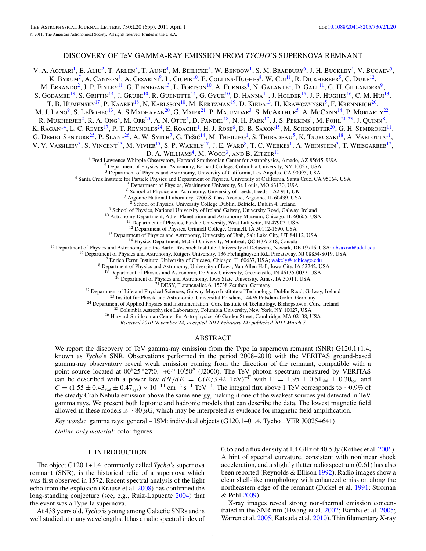## DISCOVERY OF TeV GAMMA-RAY EMISSION FROM *TYCHO*'S SUPERNOVA REMNANT

V. A. Acciari<sup>1</sup>, E. Aliu<sup>2</sup>, T. Arlen<sup>3</sup>, T. Aune<sup>4</sup>, M. Beilicke<sup>5</sup>, W. Benbow<sup>1</sup>, S. M. Bradbury<sup>6</sup>, J. H. Buckley<sup>5</sup>, V. Bugaev<sup>5</sup>, K. BYRUM<sup>7</sup>, A. CANNON<sup>8</sup>, A. CESARINI<sup>9</sup>, L. CIUPIK<sup>10</sup>, E. COLLINS-HUGHES<sup>8</sup>, W. CUI<sup>11</sup>, R. DICKHERBER<sup>5</sup>, C. DUKE<sup>12</sup>, M. Errando<sup>2</sup>, J. P. Finley<sup>11</sup>, G. Finnegan<sup>13</sup>, L. Fortson<sup>10</sup>, A. Furniss<sup>4</sup>, N. Galante<sup>1</sup>, D. Gall<sup>11</sup>, G. H. Gillanders<sup>9</sup> S. GODAMBE<sup>13</sup>, S. GRIFFIN<sup>14</sup>, J. GRUBE<sup>10</sup>, R. GUENETTE<sup>14</sup>, G. GYUK<sup>10</sup>, D. HANNA<sup>14</sup>, J. HOLDER<sup>15</sup>, J. P. HUGHES<sup>16</sup>, C. M. HUI<sup>13</sup>, T. B. HUMENSKY<sup>17</sup>, P. KAARET<sup>18</sup>, N. KARLSSON<sup>10</sup>, M. KERTZMAN<sup>19</sup>, D. KIEDA<sup>13</sup>, H. KRAWCZYNSKI<sup>5</sup>, F. KRENNRICH<sup>20</sup>, M. J. Lang<sup>9</sup>, S. LeBohec<sup>13</sup>, A. S Madhavan<sup>20</sup>, G. Maier<sup>21</sup>, P. Majumdar<sup>3</sup>, S. McArthur<sup>5</sup>, A. McCann<sup>14</sup>, P. Moriarty<sup>22</sup>, R. MUKHERJEE<sup>2</sup>, R. A. Ong<sup>3</sup>, M. Orr<sup>20</sup>, A. N. Otte<sup>4</sup>, D. Pandel<sup>18</sup>, N. H. Park<sup>17</sup>, J. S. Perkins<sup>1</sup>, M. Pohl<sup>21,23</sup>, J. Quinn<sup>8</sup>, K. RAGAN<sup>14</sup>, L. C. REYES<sup>17</sup>, P. T. REYNOLDS<sup>24</sup>, E. ROACHE<sup>1</sup>, H. J. ROSE<sup>6</sup>, D. B. SAXON<sup>15</sup>, M. SCHROEDTER<sup>20</sup>, G. H. SEMBROSKI<sup>11</sup>, G. DEMET SENTURK<sup>25</sup>, P. SLANE<sup>26</sup>, A. W. SMITH<sup>7</sup>, G. Tešić<sup>14</sup>, M. Theiling<sup>1</sup>, S. Thibadeau<sup>5</sup>, K. Tsurusaki<sup>18</sup>, A. Varlotta<sup>11</sup>, V. V. VASSILIEV<sup>3</sup>, S. VINCENT<sup>13</sup>, M. VIVIER<sup>15</sup>, S. P. WAKELY<sup>17</sup>, J. E. WARD<sup>8</sup>, T. C. WEEKES<sup>1</sup>, A. WEINSTEIN<sup>3</sup>, T. WEISGARBER<sup>17</sup>, D. A. WILLIAMS<sup>4</sup>, M. WOOD<sup>3</sup>, AND B. ZITZER<sup>11</sup> <sup>1</sup> Fred Lawrence Whipple Observatory, Harvard-Smithsonian Center for Astrophysics, Amado, AZ 85645, USA <sup>2</sup> Department of Physics and Astronomy, Barnard College, Columbia University, NY 10027, USA <sup>3</sup> Department of Physi <sup>4</sup> Santa Cruz Institute for Particle Physics and Department of Physics, University of California, Santa Cruz, CA 95064, USA<br><sup>5</sup> Department of Physics, Washington University, St. Louis, MO 63130, USA<br><sup>6</sup> School of Physics <sup>9</sup> School of Physics, National University of Ireland Galway, University Road, Galway, Ireland  $^{10}$  Astronomy Department, Adler Planetarium and Astronomy Museum, Chicago, IL 60605, USA <sup>11</sup> Department of Physics, Purdue <sup>13</sup> Department of Physics and Astronomy, University of Utah, Salt Lake City, UT 84112, USA<br><sup>14</sup> Physics Department, McGill University, Montreal, QC H3A 2T8, Canada<br><sup>16</sup> Department of Physics and Astronomy and the Bartol <sup>21</sup> DESY, Platanenallee 6, 15738 Zeuthen, Germany<br><sup>22</sup> Department of Life and Physical Sciences, Galway-Mayo Institute of Technology, Dublin Road, Galway, Ireland<br><sup>23</sup> Institut für Physik und Astronomie, Universität Pots

*Received 2010 November 24; accepted 2011 February 14; published 2011 March 7*

## ABSTRACT

We report the discovery of TeV gamma-ray emission from the Type Ia supernova remnant (SNR) G120.1+1.4, known as *Tycho*'s SNR. Observations performed in the period 2008–2010 with the VERITAS ground-based gamma-ray observatory reveal weak emission coming from the direction of the remnant, compatible with a point source located at 00<sup>h</sup>25<sup>m</sup>27<sup>*s*</sup>0, +64°10'50" (J2000). The TeV photon spectrum measured by VERITAS can be described with a power law  $dN/dE = C(E/3.42 \text{ TeV})^{-\Gamma}$  with  $\Gamma = 1.95 \pm 0.51_{\text{stat}} \pm 0.30_{\text{sys}}$  and  $C = (1.55 \pm 0.43<sub>stat</sub> \pm 0.47<sub>sys</sub>) \times 10<sup>-14</sup>$  cm<sup>-2</sup> s<sup>-1</sup> TeV<sup>-1</sup>. The integral flux above 1 TeV corresponds to ~0.9% of the steady Crab Nebula emission above the same energy, making it one of the weakest sources yet detected in TeV gamma rays. We present both leptonic and hadronic models that can describe the data. The lowest magnetic field allowed in these models is ∼80*μ*G, which may be interpreted as evidence for magnetic field amplification.

*Key words:* gamma rays: general – ISM: individual objects (G120.1+01.4, Tycho=VER J0025+641)

*Online-only material:* color figures

#### 1. INTRODUCTION

The object G120.1+1.4, commonly called *Tycho*'s supernova remnant (SNR), is the historical relic of a supernova which was first observed in 1572. Recent spectral analysis of the light echo from the explosion (Krause et al. [2008\)](#page-6-0) has confirmed the long-standing conjecture (see, e.g., Ruiz-Lapuente [2004\)](#page-6-0) that the event was a Type Ia supernova.

At 438 years old, *Tycho* is young among Galactic SNRs and is well studied at many wavelengths. It has a radio spectral index of 0*.*65 and a flux density at 1.4 GHz of 40*.*5 Jy (Kothes et al. [2006\)](#page-6-0). A hint of spectral curvature, consistent with nonlinear shock acceleration, and a slightly flatter radio spectrum (0.61) has also been reported (Reynolds & Ellison [1992\)](#page-6-0). Radio images show a clear shell-like morphology with enhanced emission along the northeastern edge of the remnant (Dickel et al. [1991;](#page-5-0) Stroman & Pohl [2009\)](#page-6-0).

X-ray images reveal strong non-thermal emission concentrated in the SNR rim (Hwang et al. [2002;](#page-5-0) Bamba et al. [2005;](#page-5-0) Warren et al. [2005;](#page-6-0) Katsuda et al. [2010\)](#page-5-0). Thin filamentary X-ray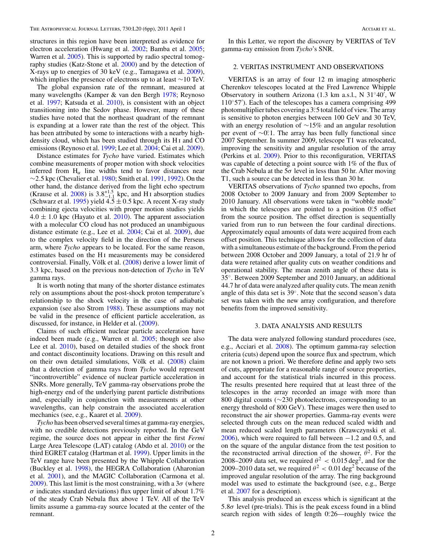structures in this region have been interpreted as evidence for electron acceleration (Hwang et al. [2002;](#page-5-0) Bamba et al. [2005;](#page-5-0) Warren et al. [2005\)](#page-6-0). This is supported by radio spectral tomography studies (Katz-Stone et al. [2000\)](#page-6-0) and by the detection of X-rays up to energies of 30 keV (e.g., Tamagawa et al. [2009\)](#page-6-0), which implies the presence of electrons up to at least ∼10 TeV.

The global expansion rate of the remnant, measured at many wavelengths (Kamper & van den Bergh [1978;](#page-5-0) Reynoso et al. [1997;](#page-6-0) Katsuda et al. [2010\)](#page-5-0), is consistent with an object transitioning into the Sedov phase. However, many of these studies have noted that the northeast quadrant of the remnant is expanding at a lower rate than the rest of the object. This has been attributed by some to interactions with a nearby highdensity cloud, which has been studied through its H<sub>I</sub> and CO emissions (Reynoso et al. [1999;](#page-6-0) Lee et al. [2004;](#page-6-0) Cai et al. [2009\)](#page-5-0).

Distance estimates for *Tycho* have varied. Estimates which combine measurements of proper motion with shock velocities inferred from  $H_{\alpha}$  line widths tend to favor distances near ∼2*.*5 kpc (Chevalier et al. [1980;](#page-5-0) Smith et al. [1991,](#page-6-0) [1992\)](#page-6-0). On the other hand, the distance derived from the light echo spectrum (Krause et al. [2008\)](#page-6-0) is  $3.8^{+1.5}_{-1.1}$  kpc, and H<sub>I</sub> absorption studies (Schwarz et al. [1995\)](#page-6-0) yield  $4.5 \pm 0.5$  kpc. A recent X-ray study combining ejecta velocities with proper motion studies yields  $4.0 \pm 1.0$  kpc (Hayato et al. [2010\)](#page-5-0). The apparent association with a molecular CO cloud has not produced an unambiguous distance estimate (e.g., Lee et al. [2004;](#page-6-0) Cai et al. [2009\)](#page-5-0), due to the complex velocity field in the direction of the Perseus arm, where *Tycho* appears to be located. For the same reason, estimates based on the H<sub>I</sub> measurements may be considered controversial. Finally, Völk et al. ([2008\)](#page-6-0) derive a lower limit of 3.3 kpc, based on the previous non-detection of *Tycho* in TeV gamma rays.

It is worth noting that many of the shorter distance estimates rely on assumptions about the post-shock proton temperature's relationship to the shock velocity in the case of adiabatic expansion (see also Strom [1988\)](#page-6-0). These assumptions may not be valid in the presence of efficient particle acceleration, as discussed, for instance, in Helder et al. [\(2009\)](#page-5-0).

Claims of such efficient nuclear particle acceleration have indeed been made (e.g., Warren et al. [2005;](#page-6-0) though see also Lee et al. [2010\)](#page-6-0), based on detailed studies of the shock front and contact discontinuity locations. Drawing on this result and on their own detailed simulations, Völk et al.  $(2008)$  $(2008)$  claim that a detection of gamma rays from *Tycho* would represent "incontrovertible" evidence of nuclear particle acceleration in SNRs. More generally, TeV gamma-ray observations probe the high-energy end of the underlying parent particle distributions and, especially in conjunction with measurements at other wavelengths, can help constrain the associated acceleration mechanics (see, e.g., Kaaret et al. [2009\)](#page-5-0).

*Tycho* has been observed several times at gamma-ray energies, with no credible detections previously reported. In the GeV regime, the source does not appear in either the first *Fermi* Large Area Telescope (LAT) catalog (Abdo et al. [2010\)](#page-5-0) or the third EGRET catalog (Hartman et al. [1999\)](#page-5-0). Upper limits in the TeV range have been presented by the Whipple Collaboration (Buckley et al. [1998\)](#page-5-0), the HEGRA Collaboration (Aharonian et al. [2001\)](#page-5-0), and the MAGIC Collaboration (Carmona et al. [2009\)](#page-5-0). This last limit is the most constraining, with a 3*σ* (where  $\sigma$  indicates standard deviations) flux upper limit of about 1.7% of the steady Crab Nebula flux above 1 TeV. All of the TeV limits assume a gamma-ray source located at the center of the remnant.

In this Letter, we report the discovery by VERITAS of TeV gamma-ray emission from *Tycho*'s SNR.

#### 2. VERITAS INSTRUMENT AND OBSERVATIONS

VERITAS is an array of four 12 m imaging atmospheric Cherenkov telescopes located at the Fred Lawrence Whipple Observatory in southern Arizona (1.3 km a.s.l., N 31◦40 , W 110◦57 ). Each of the telescopes has a camera comprising 499 photomultiplier tubes covering a 3*.* ◦5 total field of view. The array is sensitive to photon energies between 100 GeV and 30 TeV, with an energy resolution of ∼15% and an angular resolution per event of ∼0<sup>°</sup>. The array has been fully functional since 2007 September. In summer 2009, telescope T1 was relocated, improving the sensitivity and angular resolution of the array (Perkins et al. [2009\)](#page-6-0). Prior to this reconfiguration, VERITAS was capable of detecting a point source with 1% of the flux of the Crab Nebula at the  $5\sigma$  level in less than 50 hr. After moving T1, such a source can be detected in less than 30 hr.

VERITAS observations of *Tycho* spanned two epochs, from 2008 October to 2009 January and from 2009 September to 2010 January. All observations were taken in "wobble mode" in which the telescopes are pointed to a position  $0^\circ$ . 5 offset from the source position. The offset direction is sequentially varied from run to run between the four cardinal directions. Approximately equal amounts of data were acquired from each offset position. This technique allows for the collection of data with a simultaneous estimate of the background. From the period between 2008 October and 2009 January, a total of 21.9 hr of data were retained after quality cuts on weather conditions and operational stability. The mean zenith angle of these data is 35◦. Between 2009 September and 2010 January, an additional 44.7 hr of data were analyzed after quality cuts. The mean zenith angle of this data set is 39◦. Note that the second season's data set was taken with the new array configuration, and therefore benefits from the improved sensitivity.

#### 3. DATA ANALYSIS AND RESULTS

The data were analyzed following standard procedures (see, e.g., Acciari et al. [2008\)](#page-5-0). The optimum gamma-ray selection criteria (cuts) depend upon the source flux and spectrum, which are not known a priori. We therefore define and apply two sets of cuts, appropriate for a reasonable range of source properties, and account for the statistical trials incurred in this process. The results presented here required that at least three of the telescopes in the array recorded an image with more than 800 digital counts (∼230 photoelectrons, corresponding to an energy threshold of 800 GeV). These images were then used to reconstruct the air shower properties. Gamma-ray events were selected through cuts on the mean reduced scaled width and mean reduced scaled length parameters (Krawczynski et al. [2006\)](#page-6-0), which were required to fall between −1.2 and 0.5, and on the square of the angular distance from the test position to the reconstructed arrival direction of the shower,  $\theta^2$ . For the 2008–2009 data set, we required  $\theta^2 < 0.015 \text{ deg}^2$ , and for the 2009–2010 data set, we required  $\theta^2 < 0.01$  deg<sup>2</sup> because of the improved angular resolution of the array. The ring background model was used to estimate the background (see, e.g., Berge et al. [2007](#page-5-0) for a description).

This analysis produced an excess which is significant at the 5*.*8*σ* level (pre-trials). This is the peak excess found in a blind search region with sides of length 0.26—roughly twice the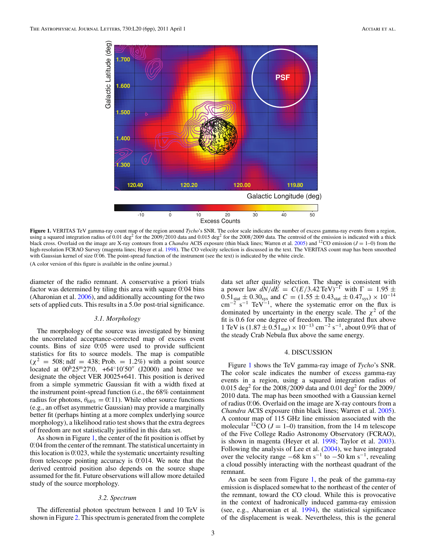

**Figure 1.** VERITAS TeV gamma-ray count map of the region around *Tycho*'s SNR. The color scale indicates the number of excess gamma-ray events from a region, using a squared integration radius of 0.01 deg<sup>2</sup> for the 2009/2010 data and 0.015 deg<sup>2</sup> for the 2008/2009 data. The centroid of the emission is indicated with a thick black cross. Overlaid on the image are X-ray contours from a *Chandra* ACIS exposure (thin black lines; Warren et al. [2005\)](#page-6-0) and <sup>12</sup>CO emission ( $J = 1$ –0) from the high-resolution FCRAO Survey (magenta lines; Heyer et al. [1998\)](#page-5-0). The CO velocity selection is discussed in the text. The VERITAS count map has been smoothed with Gaussian kernel of size 0.06. The point-spread function of the instrument (see the text) is indicated by the white circle. (A color version of this figure is available in the online journal.)

diameter of the radio remnant. A conservative a priori trials factor was determined by tiling this area with square 0.04 bins (Aharonian et al. [2006\)](#page-5-0), and additionally accounting for the two sets of applied cuts. This results in a 5*.*0*σ* post-trial significance.

#### *3.1. Morphology*

The morphology of the source was investigated by binning the uncorrelated acceptance-corrected map of excess event counts. Bins of size 0.05 were used to provide sufficient statistics for fits to source models. The map is compatible  $(\chi^2 = 508; \text{ndf} = 438; \text{Prob.} = 1.2\%)$  with a point source located at 00<sup>h</sup>25<sup>m</sup>27<sup>8</sup>.0, +64<sup>°</sup>10'50" (J2000) and hence we designate the object VER J0025+641. This position is derived from a simple symmetric Gaussian fit with a width fixed at the instrument point-spread function (i.e., the 68% containment radius for photons,  $\theta_{68\%} = 0.11$ ). While other source functions (e.g., an offset asymmetric Gaussian) may provide a marginally better fit (perhaps hinting at a more complex underlying source morphology), a likelihood ratio test shows that the extra degrees of freedom are not statistically justified in this data set.

As shown in Figure 1, the center of the fit position is offset by 0.04 from the center of the remnant. The statistical uncertainty in this location is 0.023, while the systematic uncertainty resulting from telescope pointing accuracy is 0.014. We note that the derived centroid position also depends on the source shape assumed for the fit. Future observations will allow more detailed study of the source morphology.

#### *3.2. Spectrum*

The differential photon spectrum between 1 and 10 TeV is shown in Figure [2.](#page-4-0) This spectrum is generated from the complete

data set after quality selection. The shape is consistent with a power law  $dN/dE = C(E/3.42 \text{ TeV})^{-\Gamma}$  with  $\Gamma = 1.95 \pm 0.014$  $0.51_{stat} \pm 0.30_{sys}$  and  $C = (1.55 \pm 0.43_{stat} \pm 0.47_{sys}) \times 10^{-14}$ <br>cm<sup>-2</sup> s<sup>-1</sup> TeV<sup>-1</sup>, where the systematic error on the flux is dominated by uncertainty in the energy scale. The  $\chi^2$  of the fit is 0.6 for one degree of freedom. The integrated flux above 1 TeV is  $(1.87 \pm 0.51<sub>stat</sub>) \times 10<sup>-13</sup>$  cm<sup>-2</sup> s<sup>-1</sup>, about 0.9% that of the steady Crab Nebula flux above the same energy.

#### 4. DISCUSSION

Figure 1 shows the TeV gamma-ray image of *Tycho*'s SNR. The color scale indicates the number of excess gamma-ray events in a region, using a squared integration radius of 0.015 deg2 for the 2008*/*2009 data and 0.01 deg2 for the 2009*/* 2010 data. The map has been smoothed with a Gaussian kernel of radius 0*.* ◦06. Overlaid on the image are X-ray contours from a *Chandra* ACIS exposure (thin black lines; Warren et al. [2005\)](#page-6-0). A contour map of 115 GHz line emission associated with the molecular <sup>12</sup>CO ( $J = 1-0$ ) transition, from the 14 m telescope of the Five College Radio Astronomy Observatory (FCRAO), is shown in magenta (Heyer et al. [1998;](#page-5-0) Taylor et al. [2003\)](#page-6-0). Following the analysis of Lee et al. [\(2004\)](#page-6-0), we have integrated over the velocity range  $-68 \text{ km s}^{-1}$  to  $-50 \text{ km s}^{-1}$ , revealing a cloud possibly interacting with the northeast quadrant of the remnant.

As can be seen from Figure 1, the peak of the gamma-ray emission is displaced somewhat to the northeast of the center of the remnant, toward the CO cloud. While this is provocative in the context of hadronically induced gamma-ray emission (see, e.g., Aharonian et al. [1994\)](#page-5-0), the statistical significance of the displacement is weak. Nevertheless, this is the general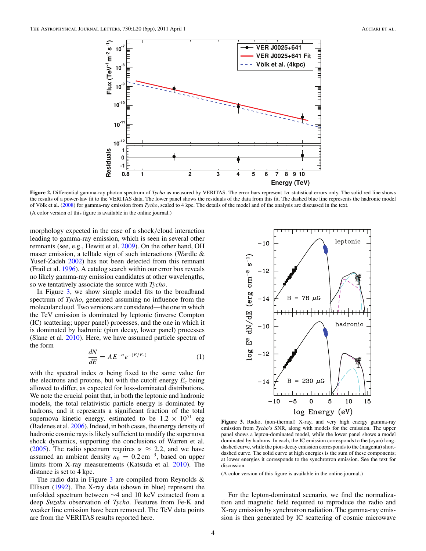<span id="page-4-0"></span>

**Figure 2.** Differential gamma-ray photon spectrum of *Tycho* as measured by VERITAS. The error bars represent 1*σ* statistical errors only. The solid red line shows the results of a power-law fit to the VERITAS data. The lower panel shows the residuals of the data from this fit. The dashed blue line represents the hadronic model of Völk et al. ([2008\)](#page-6-0) for gamma-ray emission from *Tycho*, scaled to 4 kpc. The details of the model and of the analysis are discussed in the text. (A color version of this figure is available in the online journal.)

morphology expected in the case of a shock*/*cloud interaction leading to gamma-ray emission, which is seen in several other remnants (see, e.g., Hewitt et al. [2009\)](#page-5-0). On the other hand, OH maser emission, a telltale sign of such interactions (Wardle & Yusef-Zadeh [2002\)](#page-6-0) has not been detected from this remnant (Frail et al. [1996\)](#page-5-0). A catalog search within our error box reveals no likely gamma-ray emission candidates at other wavelengths, so we tentatively associate the source with *Tycho*.

In Figure 3, we show simple model fits to the broadband spectrum of *Tycho*, generated assuming no influence from the molecular cloud. Two versions are considered—the one in which the TeV emission is dominated by leptonic (inverse Compton (IC) scattering; upper panel) processes, and the one in which it is dominated by hadronic (pion decay, lower panel) processes (Slane et al. [2010\)](#page-6-0). Here, we have assumed particle spectra of the form

$$
\frac{dN}{dE} = AE^{-\alpha}e^{-(E/E_c)}\tag{1}
$$

with the spectral index  $\alpha$  being fixed to the same value for the electrons and protons, but with the cutoff energy  $E_c$  being allowed to differ, as expected for loss-dominated distributions. We note the crucial point that, in both the leptonic and hadronic models, the total relativistic particle energy is dominated by hadrons, and it represents a significant fraction of the total supernova kinetic energy, estimated to be  $1.2 \times 10^{51}$  erg (Badenes et al. [2006\)](#page-5-0). Indeed, in both cases, the energy density of hadronic cosmic rays is likely sufficient to modify the supernova shock dynamics, supporting the conclusions of Warren et al. [\(2005\)](#page-6-0). The radio spectrum requires  $\alpha \approx 2.2$ , and we have assumed an ambient density  $n_0 = 0.2 \text{ cm}^{-3}$ , based on upper limits from X-ray measurements (Katsuda et al. [2010\)](#page-5-0). The distance is set to 4 kpc.

The radio data in Figure  $3$  are compiled from Reynolds  $\&$ Ellison [\(1992\)](#page-6-0). The X-ray data (shown in blue) represent the unfolded spectrum between ∼4 and 10 keV extracted from a deep *Suzaku* observation of *Tycho*. Features from Fe-K and weaker line emission have been removed. The TeV data points are from the VERITAS results reported here.



**Figure 3.** Radio, (non-thermal) X-ray, and very high energy gamma-ray emission from *Tycho*'s SNR, along with models for the emission. The upper panel shows a lepton-dominated model, while the lower panel shows a model dominated by hadrons. In each, the IC emission corresponds to the (cyan) longdashed curve, while the pion-decay emission corresponds to the (magenta) shortdashed curve. The solid curve at high energies is the sum of these components; at lower energies it corresponds to the synchrotron emission. See the text for discussion.

(A color version of this figure is available in the online journal.)

For the lepton-dominated scenario, we find the normalization and magnetic field required to reproduce the radio and X-ray emission by synchrotron radiation. The gamma-ray emission is then generated by IC scattering of cosmic microwave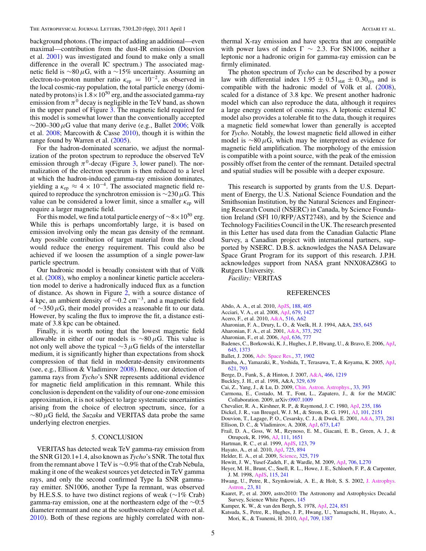<span id="page-5-0"></span>background photons. (The impact of adding an additional—even maximal—contribution from the dust-IR emission (Douvion et al. 2001) was investigated and found to make only a small difference in the overall IC spectrum.) The associated magnetic field is ∼80*μ*G, with a ∼15% uncertainty. Assuming an electron-to-proton number ratio  $\kappa_{ep} = 10^{-2}$ , as observed in the local cosmic-ray population, the total particle energy (dominated by protons) is  $1.8 \times 10^{50}$  erg, and the associated gamma-ray emission from  $\pi^0$  decay is negligible in the TeV band, as shown in the upper panel of Figure [3.](#page-4-0) The magnetic field required for this model is somewhat lower than the conventionally accepted  $\sim$ 200–300  $\mu$ G value that many derive (e.g., Ballet 2006; Völk et al. [2008;](#page-6-0) Marcowith & Casse [2010\)](#page-6-0), though it is within the range found by Warren et al.  $(2005)$ .

For the hadron-dominated scenario, we adjust the normalization of the proton spectrum to reproduce the observed TeV emission through  $\pi^0$ -decay (Figure [3,](#page-4-0) lower panel). The normalization of the electron spectrum is then reduced to a level at which the hadron-induced gamma-ray emission dominates, yielding a  $\kappa_{ep} \approx 4 \times 10^{-4}$ . The associated magnetic field required to reproduce the synchrotron emission is ∼230*μ*G. This value can be considered a lower limit, since a smaller  $\kappa_{ep}$  will require a larger magnetic field.

For this model, we find a total particle energy of  $\sim 8 \times 10^{50}$  erg. While this is perhaps uncomfortably large, it is based on emission involving only the mean gas density of the remnant. Any possible contribution of target material from the cloud would reduce the energy requirement. This could also be achieved if we loosen the assumption of a single power-law particle spectrum.

Our hadronic model is broadly consistent with that of Völk et al. [\(2008\)](#page-6-0), who employ a nonlinear kinetic particle acceleration model to derive a hadronically induced flux as a function of distance. As shown in Figure [2,](#page-4-0) with a source distance of 4 kpc, an ambient density of <sup>∼</sup>0*.*2 cm−3, and a magnetic field of ∼350*μ*G, their model provides a reasonable fit to our data. However, by scaling the flux to improve the fit, a distance estimate of 3*.*8 kpc can be obtained.

Finally, it is worth noting that the lowest magnetic field allowable in either of our models is ∼80*μ*G. This value is not only well above the typical ∼3*μ*G fields of the interstellar medium, it is significantly higher than expectations from shock compression of that field in moderate-density environments (see, e.g., Ellison & Vladimirov 2008). Hence, our detection of gamma rays from *Tycho*'s SNR represents additional evidence for magnetic field amplification in this remnant. While this conclusion is dependent on the validity of our one-zone emission approximation, it is not subject to large systematic uncertainties arising from the choice of electron spectrum, since, for a ∼80*μ*G field, the *Suzaku* and VERITAS data probe the same underlying electron energies.

#### 5. CONCLUSION

VERITAS has detected weak TeV gamma-ray emission from the SNR G120.1+1.4, also known as *Tycho*'s SNR. The total flux from the remnant above 1 TeV is ∼0*.*9% that of the Crab Nebula, making it one of the weakest sources yet detected in TeV gamma rays, and only the second confirmed Type Ia SNR gammaray emitter. SN1006, another Type Ia remnant, was observed by H.E.S.S. to have two distinct regions of weak (∼1% Crab) gamma-ray emission, one at the northeastern edge of the ∼0*.* ◦5 diameter remnant and one at the southwestern edge (Acero et al. 2010). Both of these regions are highly correlated with nonthermal X-ray emission and have spectra that are compatible with power laws of index  $\Gamma \sim 2.3$ . For SN1006, neither a leptonic nor a hadronic origin for gamma-ray emission can be firmly eliminated.

The photon spectrum of *Tycho* can be described by a power law with differential index  $1.95 \pm 0.51_{stat} \pm 0.30_{sys}$  and is compatible with the hadronic model of Völk et al.  $(2008)$  $(2008)$ , scaled for a distance of 3*.*8 kpc. We present another hadronic model which can also reproduce the data, although it requires a large energy content of cosmic rays. A leptonic external IC model also provides a tolerable fit to the data, though it requires a magnetic field somewhat lower than generally is accepted for *Tycho*. Notably, the lowest magnetic field allowed in either model is ∼80*μ*G, which may be interpreted as evidence for magnetic field amplification. The morphology of the emission is compatible with a point source, with the peak of the emission possibly offset from the center of the remnant. Detailed spectral and spatial studies will be possible with a deeper exposure.

This research is supported by grants from the U.S. Department of Energy, the U.S. National Science Foundation and the Smithsonian Institution, by the Natural Sciences and Engineering Research Council (NSERC) in Canada, by Science Foundation Ireland (SFI 10*/*RFP*/*AST2748), and by the Science and Technology Facilities Council in the UK. The research presented in this Letter has used data from the Canadian Galactic Plane Survey, a Canadian project with international partners, supported by NSERC. D.B.S. acknowledges the NASA Delaware Space Grant Program for its support of this research. J.P.H. acknowledges support from NASA grant NNX08AZ86G to Rutgers University.

*Facility:* VERITAS

#### REFERENCES

- Abdo, A. A., et al. 2010, [ApJS,](http://dx.doi.org/10.1088/0067-0049/188/2/405) [188, 405](http://adsabs.harvard.edu/abs/2010ApJS..188..405A)
- Acciari, V. A., et al. 2008, [ApJ,](http://dx.doi.org/10.1086/587736) [679, 1427](http://adsabs.harvard.edu/abs/2008ApJ...679.1427A)
- Acero, F., et al. 2010, [A&A,](http://dx.doi.org/10.1051/0004-6361/200913916) [516, A62](http://adsabs.harvard.edu/abs/2010A&A...516A..62A)
- Aharonian, F. A., Drury, L. O., & Voelk, H. J. 1994, A&A, [285, 645](http://adsabs.harvard.edu/abs/1994A&A...285..645A)
- Aharonian, F. A., et al. 2001, [A&A,](http://dx.doi.org/10.1051/0004-6361:20010591) [373, 292](http://adsabs.harvard.edu/abs/2001A&A...373..292A)
- Aharonian, F., et al. 2006, [ApJ,](http://dx.doi.org/10.1086/498013) [636, 777](http://adsabs.harvard.edu/abs/2006ApJ...636..777A)
- Badenes, C., Borkowski, K. J., Hughes, J. P., Hwang, U., & Bravo, E. 2006, [ApJ,](http://dx.doi.org/10.1086/504399) [645, 1373](http://adsabs.harvard.edu/abs/2006ApJ...645.1373B)
- Ballet, J. 2006, [Adv. Space Res.,](http://dx.doi.org/10.1016/j.asr.2005.03.047) [37, 1902](http://adsabs.harvard.edu/abs/2006AdSpR..37.1902B)
- Bamba, A., Yamazaki, R., Yoshida, T., Terasawa, T., & Koyama, K. 2005, [ApJ,](http://dx.doi.org/10.1086/427620) [621, 793](http://adsabs.harvard.edu/abs/2005ApJ...621..793B)
- Berge, D., Funk, S., & Hinton, J. 2007, [A&A,](http://dx.doi.org/10.1051/0004-6361:20066674) [466, 1219](http://adsabs.harvard.edu/abs/2007A&A...466.1219B)
- Buckley, J. H., et al. 1998, A&A, [329, 639](http://adsabs.harvard.edu/abs/1998A&A...329..639B)
- Cai, Z., Yang, J., & Lu, D. 2009, [Chin. Astron. Astrophys.,](http://dx.doi.org/10.1016/j.chinastron.2009.09.005) [33, 393](http://adsabs.harvard.edu/abs/2009ChA&A..33..393C)
- Carmona, E., Costado, M. T., Font, L., Zapatero, J., & for the MAGIC Collaboration. 2009, arXiv[:0907.1009](http://www.arxiv.org/abs/0907.1009)
- Chevalier, R. A., Kirshner, R. P., & Raymond, J. C. 1980, [ApJ,](http://dx.doi.org/10.1086/157623) [235, 186](http://adsabs.harvard.edu/abs/1980ApJ...235..186C)
- Dickel, J. R., van Breugel, W. J. M., & Strom, R. G. 1991, [AJ,](http://dx.doi.org/10.1086/115837) [101, 2151](http://adsabs.harvard.edu/abs/1991AJ....101.2151D)
- Douvion, T., Lagage, P. O., Cesarsky, C. J., & Dwek, E. 2001, [A&A,](http://dx.doi.org/10.1051/0004-6361:20010447) [373, 281](http://adsabs.harvard.edu/abs/2001A&A...373..281D)
- Ellison, D. C., & Vladimirov, A. 2008, [ApJ,](http://dx.doi.org/10.1086/527359) [673, L47](http://adsabs.harvard.edu/abs/2008ApJ...673L..47E)
- Frail, D. A., Goss, W. M., Reynoso, E. M., Giacani, E. B., Green, A. J., & Otrupcek, R. 1996, [AJ,](http://dx.doi.org/10.1086/117904) [111, 1651](http://adsabs.harvard.edu/abs/1996AJ....111.1651F)
- Hartman, R. C., et al. 1999, [ApJS,](http://dx.doi.org/10.1086/313231) [123, 79](http://adsabs.harvard.edu/abs/1999ApJS..123...79H)
- Hayato, A., et al. 2010, [ApJ,](http://dx.doi.org/10.1088/0004-637X/725/1/894) [725, 894](http://adsabs.harvard.edu/abs/2010ApJ...725..894H)
- Helder, E. A., et al. 2009, [Science,](http://dx.doi.org/10.1126/science.1173383) [325, 719](http://adsabs.harvard.edu/abs/2009Sci...325..719H)
- Hewitt, J. W., Yusef-Zadeh, F., & Wardle, M. 2009, [ApJ,](http://dx.doi.org/10.1088/0004-637X/706/2/L270) [706, L270](http://adsabs.harvard.edu/abs/2009ApJ...706L.270H)
- Heyer, M. H., Brunt, C., Snell, R. L., Howe, J. E., Schloerb, F. P., & Carpenter, J. M. 1998, [ApJS,](http://dx.doi.org/10.1086/313086) [115, 241](http://adsabs.harvard.edu/abs/1998ApJS..115..241H)
- Hwang, U., Petre, R., Szymkowiak, A. E., & Holt, S. S. 2002, [J. Astrophys.](http://dx.doi.org/10.1007/BF02702469) [Astron.,](http://dx.doi.org/10.1007/BF02702469) [23, 81](http://adsabs.harvard.edu/abs/2002JApA...23...81H)
- Kaaret, P., et al. 2009, astro2010: The Astronomy and Astrophysics Decadal Survey, Science White Papers, [145](http://adsabs.harvard.edu/abs/2009astro2010S.145K)
- Kamper, K. W., & van den Bergh, S. 1978, [ApJ,](http://dx.doi.org/10.1086/156435) [224, 851](http://adsabs.harvard.edu/abs/1978ApJ...224..851K)
- Katsuda, S., Petre, R., Hughes, J. P., Hwang, U., Yamaguchi, H., Hayato, A., Mori, K., & Tsunemi, H. 2010, [ApJ,](http://dx.doi.org/10.1088/0004-637X/709/2/1387) [709, 1387](http://adsabs.harvard.edu/abs/2010ApJ...709.1387K)